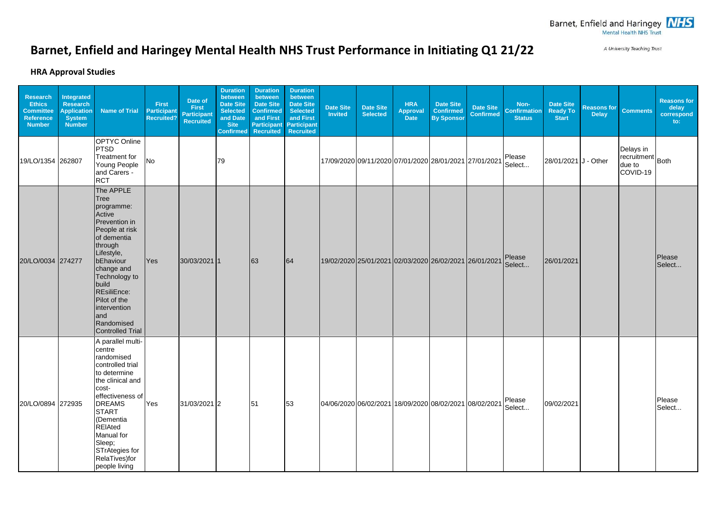A University Teaching Trust

## **Barnet, Enfield and Haringey Mental Health NHS Trust Performance in Initiating Q1 21/22**

## **HRA Approval Studies**

| <b>Research</b><br><b>Ethics</b><br><b>Committee</b><br><b>Reference</b><br><b>Number</b> | Integrated<br><b>Research</b><br><b>Application</b><br><b>System</b><br><b>Number</b> | <b>Name of Trial</b>                                                                                                                                                                                                                                                              | <b>First</b><br><b>Participant</b><br><b>Recruited?</b> | Date of<br><b>First</b><br><b>Participant</b><br><b>Recruited</b> | <b>Duration</b><br>between<br><b>Date Site</b><br><b>Selected</b><br>and Date<br><b>Site</b> | <b>Duration</b><br>between<br><b>Date Site</b><br><b>Confirmed</b><br>and First<br><b>Participant</b><br>Confirmed Recruited | <b>Duration</b><br>between<br><b>Date Site</b><br><b>Selected</b><br>and First<br><b>Participant</b><br><b>Recruited</b> | <b>Date Site</b><br><b>Invited</b> | <b>Date Site</b><br><b>Selected</b>                    | <b>HRA</b><br><b>Approval</b><br><b>Date</b> | <b>Date Site</b><br><b>Confirmed</b><br><b>By Sponsor</b> | <b>Date Site</b><br><b>Confirmed</b> | Non-<br><b>Confirmation</b><br><b>Status</b> | <b>Date Site</b><br><b>Ready To</b><br><b>Start</b> | <b>Reasons for</b><br><b>Delay</b> | <b>Comments</b>                                        | <b>Reasons for</b><br>delay<br>correspond<br>$\mathsf{to}$ : |
|-------------------------------------------------------------------------------------------|---------------------------------------------------------------------------------------|-----------------------------------------------------------------------------------------------------------------------------------------------------------------------------------------------------------------------------------------------------------------------------------|---------------------------------------------------------|-------------------------------------------------------------------|----------------------------------------------------------------------------------------------|------------------------------------------------------------------------------------------------------------------------------|--------------------------------------------------------------------------------------------------------------------------|------------------------------------|--------------------------------------------------------|----------------------------------------------|-----------------------------------------------------------|--------------------------------------|----------------------------------------------|-----------------------------------------------------|------------------------------------|--------------------------------------------------------|--------------------------------------------------------------|
| 19/LO/1354 262807                                                                         |                                                                                       | <b>OPTYC Online</b><br><b>PTSD</b><br>Treatment for<br>Young People<br>and Carers -<br><b>RCT</b>                                                                                                                                                                                 | No                                                      |                                                                   | 79                                                                                           |                                                                                                                              |                                                                                                                          |                                    | 17/09/2020 09/11/2020 07/01/2020 28/01/2021 27/01/2021 |                                              |                                                           |                                      | Please<br>Select                             | 28/01/2021 J - Other                                |                                    | Delays in<br>recruitment<br>Both<br>due to<br>COVID-19 |                                                              |
| 20/LO/0034 274277                                                                         |                                                                                       | The APPLE<br>Tree<br>programme:<br>Active<br>Prevention in<br>People at risk<br>of dementia<br>through<br>Lifestyle,<br>bEhaviour<br>change and<br>Technology to<br>build<br>REsiliEnce:<br>Pilot of the<br>intervention<br>land<br>Randomised<br>Controlled Trial                | Yes                                                     | 30/03/2021 1                                                      |                                                                                              | 63                                                                                                                           | 64                                                                                                                       |                                    | 19/02/2020 25/01/2021 02/03/2020 26/02/2021 26/01/2021 |                                              |                                                           |                                      | Please<br>Select                             | 26/01/2021                                          |                                    |                                                        | Please<br>Select                                             |
| 20/LO/0894 272935                                                                         |                                                                                       | A parallel multi-<br>centre<br>randomised<br>controlled trial<br>to determine<br>the clinical and<br>cost-<br>effectiveness of<br><b>DREAMS</b><br><b>START</b><br>(Dementia<br><b>REIAted</b><br>Manual for<br>Sleep;<br><b>STrAtegies for</b><br>RelaTives)for<br>people living | Yes                                                     | 31/03/2021 2                                                      |                                                                                              | 51                                                                                                                           | 53                                                                                                                       |                                    | 04/06/2020 06/02/2021 18/09/2020 08/02/2021 08/02/2021 |                                              |                                                           |                                      | Please<br>Select                             | 09/02/2021                                          |                                    |                                                        | Please<br>Select                                             |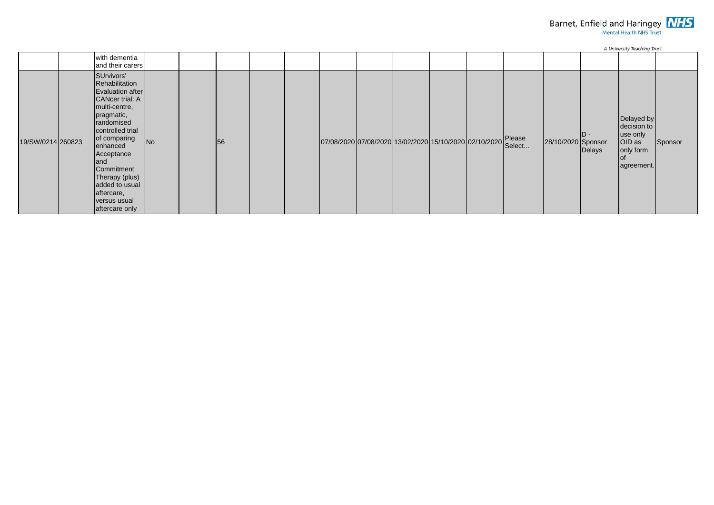

A University Teaching Trust

|                   | with dementia<br>and their carers                                                                                                                                                                                                                                                        |           |    |  |                                                               |  |  |                    |                |                                                                            |         |
|-------------------|------------------------------------------------------------------------------------------------------------------------------------------------------------------------------------------------------------------------------------------------------------------------------------------|-----------|----|--|---------------------------------------------------------------|--|--|--------------------|----------------|----------------------------------------------------------------------------|---------|
| 19/SW/0214 260823 | SUrvivors'<br>Rehabilitation<br>Evaluation after<br>CANcer trial: A<br>multi-centre,<br>pragmatic,<br>randomised<br>controlled trial<br>of comparing<br>enhanced<br>Acceptance<br>land<br>Commitment<br>Therapy (plus)<br>added to usual<br>aftercare,<br>versus usual<br>aftercare only | <b>No</b> | 56 |  | 07/08/2020 07/08/2020 13/02/2020 15/10/2020 02/10/2020 Select |  |  | 28/10/2020 Sponsor | ID -<br>Delays | Delayed by<br>decision to<br>use only<br>OID as<br>only form<br>agreement. | Sponsor |